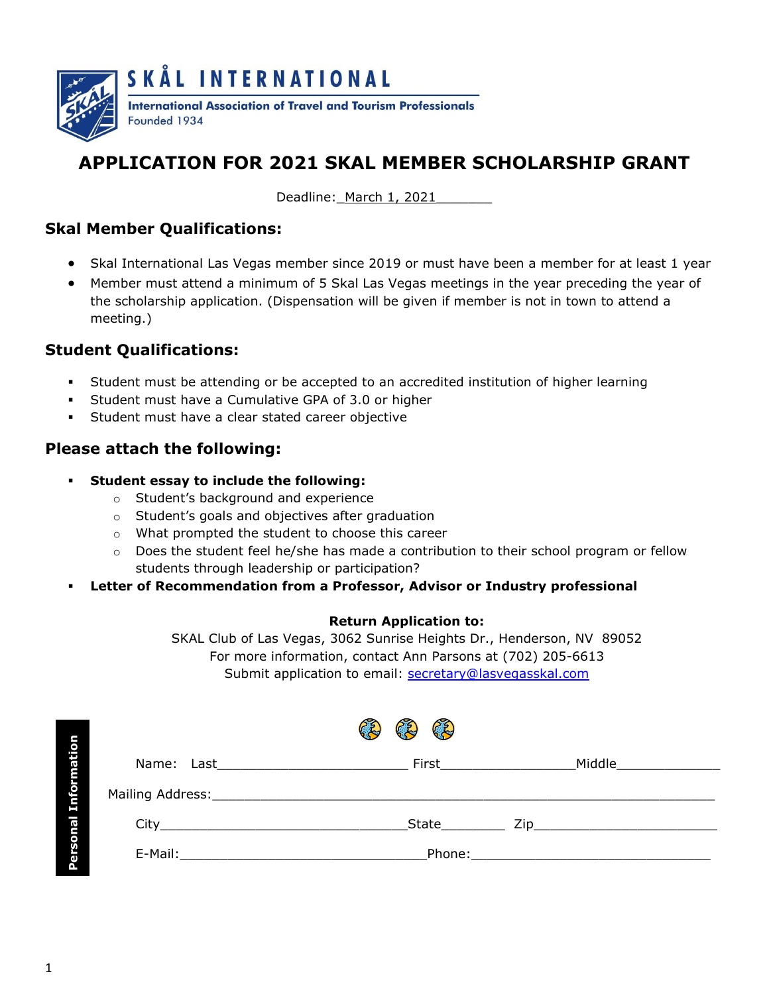

# **APPLICATION FOR 2021 SKAL MEMBER SCHOLARSHIP GRANT**

Deadline: March 1, 2021

## **Skal Member Qualifications:**

- Skal International Las Vegas member since 2019 or must have been a member for at least 1 year
- Member must attend a minimum of 5 Skal Las Vegas meetings in the year preceding the year of the scholarship application. (Dispensation will be given if member is not in town to attend a meeting.)

### **Student Qualifications:**

- Student must be attending or be accepted to an accredited institution of higher learning
- Student must have a Cumulative GPA of 3.0 or higher
- Student must have a clear stated career objective

#### **Please attach the following:**

- **Student essay to include the following:** 
	- o Student's background and experience
	- o Student's goals and objectives after graduation
	- o What prompted the student to choose this career
	- $\circ$  Does the student feel he/she has made a contribution to their school program or fellow students through leadership or participation?
- Letter of Recommendation from a Professor, Advisor or Industry professional

#### **Return Application to:**

SKAL Club of Las Vegas, 3062 Sunrise Heights Dr., Henderson, NV 89052 For more information, contact Ann Parsons at (702) 205-6613 Submit application to email: [secretary@lasvegasskal.com](mailto:secretary@lasvegasskal.com) 

|             | RE<br>$\mathcal{L}$<br>C.Z.)                                               |                            |                                                                                                                      |  |  |
|-------------|----------------------------------------------------------------------------|----------------------------|----------------------------------------------------------------------------------------------------------------------|--|--|
|             | Name: Last                                                                 | <b>First Exercise 1999</b> | Middle                                                                                                               |  |  |
| Information |                                                                            |                            |                                                                                                                      |  |  |
|             |                                                                            | State                      | <b>Zip</b> and the second second second second second second second second second second second second second second |  |  |
| Personal    | E-Mail:<br>the contract of the contract of the contract of the contract of | Phone:                     |                                                                                                                      |  |  |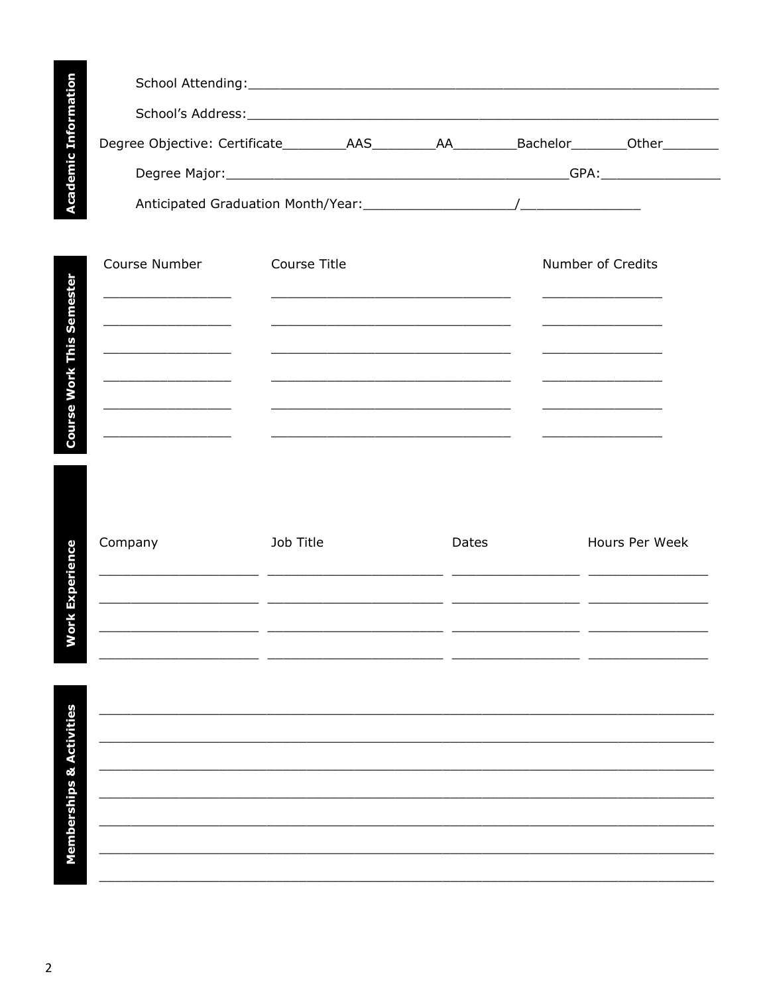|          | School Attending: National Action of the Contract of the Contract of the Contract of the Contract of the Contract of the Contract of the Contract of the Contract of the Contract of the Contract of the Contract of the Contr |  |                                    |  |
|----------|--------------------------------------------------------------------------------------------------------------------------------------------------------------------------------------------------------------------------------|--|------------------------------------|--|
| rmation  | School's Address: The Contract of the Contract of the Contract of the Contract of the Contract of the Contract of the Contract of the Contract of the Contract of the Contract of the Contract of the Contract of the Contract |  |                                    |  |
| 8        |                                                                                                                                                                                                                                |  | Bachelor___________Other__________ |  |
| Academic | Degree Major: National Assembly Degree Major:                                                                                                                                                                                  |  |                                    |  |
|          |                                                                                                                                                                                                                                |  |                                    |  |

| Course Number | Course Title | Number of Credits |
|---------------|--------------|-------------------|
|               |              |                   |
|               |              |                   |
|               |              |                   |
|               |              |                   |

**Work Experience** 

Company Job Title Dates Hours Per Week  $\overline{a}$  $\overline{a}$  $\frac{1}{2}$  $\overline{a}$ 

**Memberships & Activities**